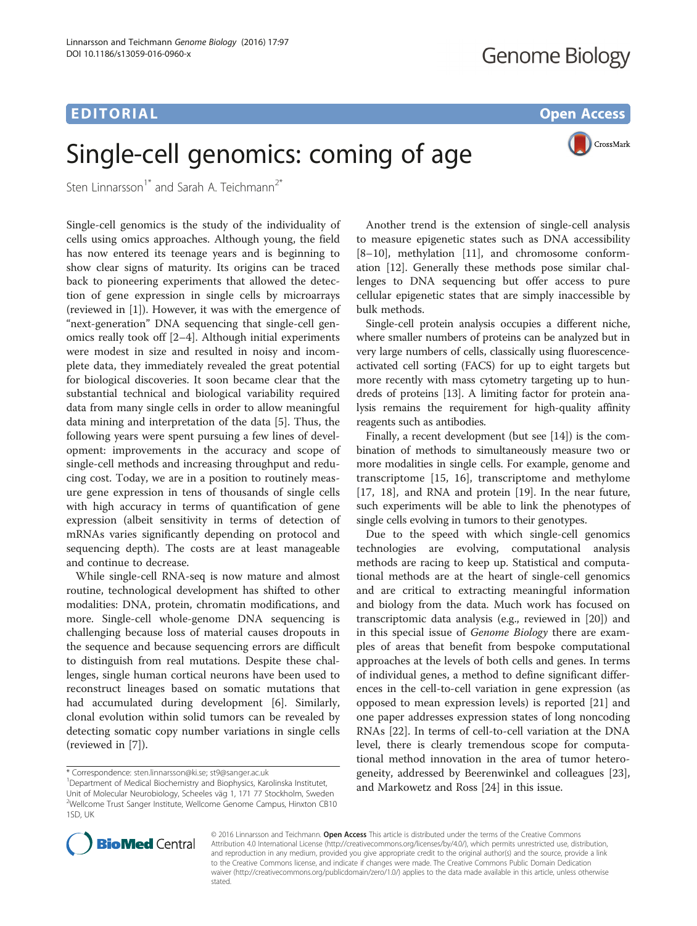# EDITORIAL AND INTERNATIONAL CONTRACT CONTRACT CONTRACT CONTRACT CONTRACT CONTRACT CONTRACT CONTRACT CONTRACT CO

# Single-cell genomics: coming of age

CrossMark

Sten Linnarsson<sup>1\*</sup> and Sarah A. Teichmann<sup>2\*</sup>

Single-cell genomics is the study of the individuality of cells using omics approaches. Although young, the field has now entered its teenage years and is beginning to show clear signs of maturity. Its origins can be traced back to pioneering experiments that allowed the detection of gene expression in single cells by microarrays (reviewed in [\[1](#page-1-0)]). However, it was with the emergence of "next-generation" DNA sequencing that single-cell genomics really took off [[2](#page-1-0)–[4\]](#page-1-0). Although initial experiments were modest in size and resulted in noisy and incomplete data, they immediately revealed the great potential for biological discoveries. It soon became clear that the substantial technical and biological variability required data from many single cells in order to allow meaningful data mining and interpretation of the data [[5\]](#page-2-0). Thus, the following years were spent pursuing a few lines of development: improvements in the accuracy and scope of single-cell methods and increasing throughput and reducing cost. Today, we are in a position to routinely measure gene expression in tens of thousands of single cells with high accuracy in terms of quantification of gene expression (albeit sensitivity in terms of detection of mRNAs varies significantly depending on protocol and sequencing depth). The costs are at least manageable and continue to decrease.

While single-cell RNA-seq is now mature and almost routine, technological development has shifted to other modalities: DNA, protein, chromatin modifications, and more. Single-cell whole-genome DNA sequencing is challenging because loss of material causes dropouts in the sequence and because sequencing errors are difficult to distinguish from real mutations. Despite these challenges, single human cortical neurons have been used to reconstruct lineages based on somatic mutations that had accumulated during development [\[6\]](#page-2-0). Similarly, clonal evolution within solid tumors can be revealed by detecting somatic copy number variations in single cells (reviewed in [[7\]](#page-2-0)).

Another trend is the extension of single-cell analysis to measure epigenetic states such as DNA accessibility [[8](#page-2-0)–[10\]](#page-2-0), methylation [\[11\]](#page-2-0), and chromosome conformation [\[12](#page-2-0)]. Generally these methods pose similar challenges to DNA sequencing but offer access to pure cellular epigenetic states that are simply inaccessible by bulk methods.

Single-cell protein analysis occupies a different niche, where smaller numbers of proteins can be analyzed but in very large numbers of cells, classically using fluorescenceactivated cell sorting (FACS) for up to eight targets but more recently with mass cytometry targeting up to hundreds of proteins [[13](#page-2-0)]. A limiting factor for protein analysis remains the requirement for high-quality affinity reagents such as antibodies.

Finally, a recent development (but see [\[14\]](#page-2-0)) is the combination of methods to simultaneously measure two or more modalities in single cells. For example, genome and transcriptome [\[15](#page-2-0), [16](#page-2-0)], transcriptome and methylome [[17, 18](#page-2-0)], and RNA and protein [\[19\]](#page-2-0). In the near future, such experiments will be able to link the phenotypes of single cells evolving in tumors to their genotypes.

Due to the speed with which single-cell genomics technologies are evolving, computational analysis methods are racing to keep up. Statistical and computational methods are at the heart of single-cell genomics and are critical to extracting meaningful information and biology from the data. Much work has focused on transcriptomic data analysis (e.g., reviewed in [\[20](#page-2-0)]) and in this special issue of Genome Biology there are examples of areas that benefit from bespoke computational approaches at the levels of both cells and genes. In terms of individual genes, a method to define significant differences in the cell-to-cell variation in gene expression (as opposed to mean expression levels) is reported [\[21\]](#page-2-0) and one paper addresses expression states of long noncoding RNAs [[22](#page-2-0)]. In terms of cell-to-cell variation at the DNA level, there is clearly tremendous scope for computational method innovation in the area of tumor heterogeneity, addressed by Beerenwinkel and colleagues [\[23](#page-2-0)], and Markowetz and Ross [\[24](#page-2-0)] in this issue.



© 2016 Linnarsson and Teichmann. Open Access This article is distributed under the terms of the Creative Commons Attribution 4.0 International License [\(http://creativecommons.org/licenses/by/4.0/](http://creativecommons.org/licenses/by/4.0/)), which permits unrestricted use, distribution, and reproduction in any medium, provided you give appropriate credit to the original author(s) and the source, provide a link to the Creative Commons license, and indicate if changes were made. The Creative Commons Public Domain Dedication waiver [\(http://creativecommons.org/publicdomain/zero/1.0/\)](http://creativecommons.org/publicdomain/zero/1.0/) applies to the data made available in this article, unless otherwise stated

<sup>\*</sup> Correspondence: [sten.linnarsson@ki.se](mailto:sten.linnarsson@ki.se); [st9@sanger.ac.uk](mailto:st9@sanger.ac.uk) <sup>1</sup>

<sup>&</sup>lt;sup>1</sup>Department of Medical Biochemistry and Biophysics, Karolinska Institutet, Unit of Molecular Neurobiology, Scheeles väg 1, 171 77 Stockholm, Sweden 2 Wellcome Trust Sanger Institute, Wellcome Genome Campus, Hinxton CB10 1SD, UK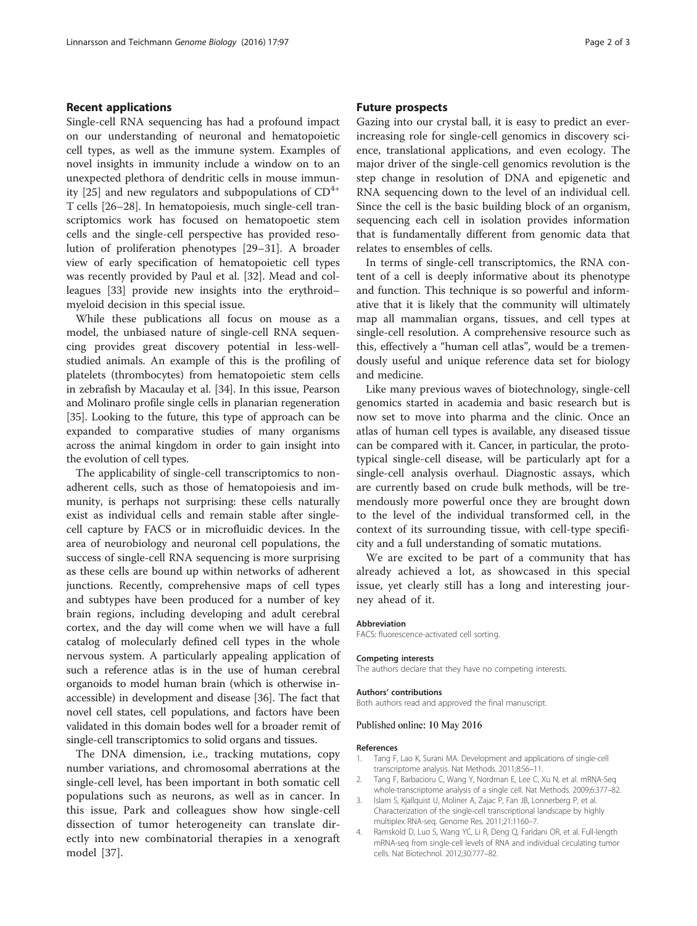### <span id="page-1-0"></span>Recent applications

Single-cell RNA sequencing has had a profound impact on our understanding of neuronal and hematopoietic cell types, as well as the immune system. Examples of novel insights in immunity include a window on to an unexpected plethora of dendritic cells in mouse immun-ity [[25](#page-2-0)] and new regulators and subpopulations of  $CD^{4+}$ T cells [[26](#page-2-0)–[28](#page-2-0)]. In hematopoiesis, much single-cell transcriptomics work has focused on hematopoetic stem cells and the single-cell perspective has provided resolution of proliferation phenotypes [\[29](#page-2-0)–[31](#page-2-0)]. A broader view of early specification of hematopoietic cell types was recently provided by Paul et al. [\[32](#page-2-0)]. Mead and colleagues [[33](#page-2-0)] provide new insights into the erythroid– myeloid decision in this special issue.

While these publications all focus on mouse as a model, the unbiased nature of single-cell RNA sequencing provides great discovery potential in less-wellstudied animals. An example of this is the profiling of platelets (thrombocytes) from hematopoietic stem cells in zebrafish by Macaulay et al. [[34](#page-2-0)]. In this issue, Pearson and Molinaro profile single cells in planarian regeneration [[35](#page-2-0)]. Looking to the future, this type of approach can be expanded to comparative studies of many organisms across the animal kingdom in order to gain insight into the evolution of cell types.

The applicability of single-cell transcriptomics to nonadherent cells, such as those of hematopoiesis and immunity, is perhaps not surprising: these cells naturally exist as individual cells and remain stable after singlecell capture by FACS or in microfluidic devices. In the area of neurobiology and neuronal cell populations, the success of single-cell RNA sequencing is more surprising as these cells are bound up within networks of adherent junctions. Recently, comprehensive maps of cell types and subtypes have been produced for a number of key brain regions, including developing and adult cerebral cortex, and the day will come when we will have a full catalog of molecularly defined cell types in the whole nervous system. A particularly appealing application of such a reference atlas is in the use of human cerebral organoids to model human brain (which is otherwise inaccessible) in development and disease [\[36\]](#page-2-0). The fact that novel cell states, cell populations, and factors have been validated in this domain bodes well for a broader remit of single-cell transcriptomics to solid organs and tissues.

The DNA dimension, i.e., tracking mutations, copy number variations, and chromosomal aberrations at the single-cell level, has been important in both somatic cell populations such as neurons, as well as in cancer. In this issue, Park and colleagues show how single-cell dissection of tumor heterogeneity can translate directly into new combinatorial therapies in a xenograft model [[37\]](#page-2-0).

### Future prospects

Gazing into our crystal ball, it is easy to predict an everincreasing role for single-cell genomics in discovery science, translational applications, and even ecology. The major driver of the single-cell genomics revolution is the step change in resolution of DNA and epigenetic and RNA sequencing down to the level of an individual cell. Since the cell is the basic building block of an organism, sequencing each cell in isolation provides information that is fundamentally different from genomic data that relates to ensembles of cells.

In terms of single-cell transcriptomics, the RNA content of a cell is deeply informative about its phenotype and function. This technique is so powerful and informative that it is likely that the community will ultimately map all mammalian organs, tissues, and cell types at single-cell resolution. A comprehensive resource such as this, effectively a "human cell atlas", would be a tremendously useful and unique reference data set for biology and medicine.

Like many previous waves of biotechnology, single-cell genomics started in academia and basic research but is now set to move into pharma and the clinic. Once an atlas of human cell types is available, any diseased tissue can be compared with it. Cancer, in particular, the prototypical single-cell disease, will be particularly apt for a single-cell analysis overhaul. Diagnostic assays, which are currently based on crude bulk methods, will be tremendously more powerful once they are brought down to the level of the individual transformed cell, in the context of its surrounding tissue, with cell-type specificity and a full understanding of somatic mutations.

We are excited to be part of a community that has already achieved a lot, as showcased in this special issue, yet clearly still has a long and interesting journey ahead of it.

FACS: fluorescence-activated cell sorting.

### **Competing interests**

The authors declare that they have no competing interests.

## Authors' contributions

Both authors read and approved the final manuscript.

### Published online: 10 May 2016

### References

- 1. Tang F, Lao K, Surani MA. Development and applications of single-cell transcriptome analysis. Nat Methods. 2011;8:S6–11.
- 2. Tang F, Barbacioru C, Wang Y, Nordman E, Lee C, Xu N, et al. mRNA-Seq whole-transcriptome analysis of a single cell. Nat Methods. 2009;6:377–82.
- 3. Islam S, Kjallquist U, Moliner A, Zajac P, Fan JB, Lonnerberg P, et al. Characterization of the single-cell transcriptional landscape by highly multiplex RNA-seq. Genome Res. 2011;21:1160–7.
- 4. Ramskold D, Luo S, Wang YC, Li R, Deng Q, Faridani OR, et al. Full-length mRNA-seq from single-cell levels of RNA and individual circulating tumor cells. Nat Biotechnol. 2012;30:777–82.